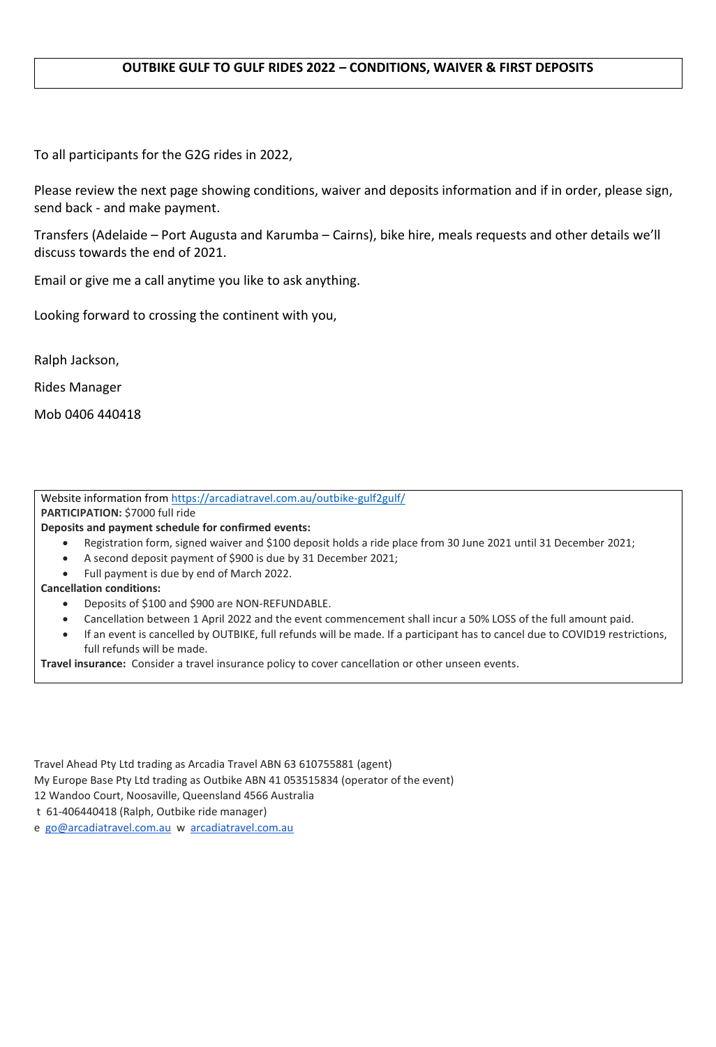## **OUTBIKE GULF TO GULF RIDES 2022 – CONDITIONS, WAIVER & FIRST DEPOSITS**

To all participants for the G2G rides in 2022,

Please review the next page showing conditions, waiver and deposits information and if in order, please sign, send back - and make payment.

Transfers (Adelaide – Port Augusta and Karumba – Cairns), bike hire, meals requests and other details we'll discuss towards the end of 2021.

Email or give me a call anytime you like to ask anything.

Looking forward to crossing the continent with you,

Ralph Jackson,

Rides Manager

Mob 0406 440418

Website information fro[m https://arcadiatravel.com.au/outbike-gulf2gulf/](https://arcadiatravel.com.au/outbike-gulf2gulf/)

**PARTICIPATION:** \$7000 full ride

**Deposits and payment schedule for confirmed events:**

- Registration form, signed waiver and \$100 deposit holds a ride place from 30 June 2021 until 31 December 2021;
- A second deposit payment of \$900 is due by 31 December 2021;
- Full payment is due by end of March 2022.

## **Cancellation conditions:**

- Deposits of \$100 and \$900 are NON-REFUNDABLE.
- Cancellation between 1 April 2022 and the event commencement shall incur a 50% LOSS of the full amount paid.
- If an event is cancelled by OUTBIKE, full refunds will be made. If a participant has to cancel due to COVID19 restrictions, full refunds will be made.

**Travel insurance:** Consider a travel insurance policy to cover cancellation or other unseen events.

Travel Ahead Pty Ltd trading as Arcadia Travel ABN 63 610755881 (agent)

My Europe Base Pty Ltd trading as Outbike ABN 41 053515834 (operator of the event)

12 Wandoo Court, Noosaville, Queensland 4566 Australia

t 61-406440418 (Ralph, Outbike ride manager)

e [go@arcadiatravel.com.au](mailto:go@arcadiatravel.com.au) w [arcadiatravel.com.au](http://arcadiatravel.com.au/)